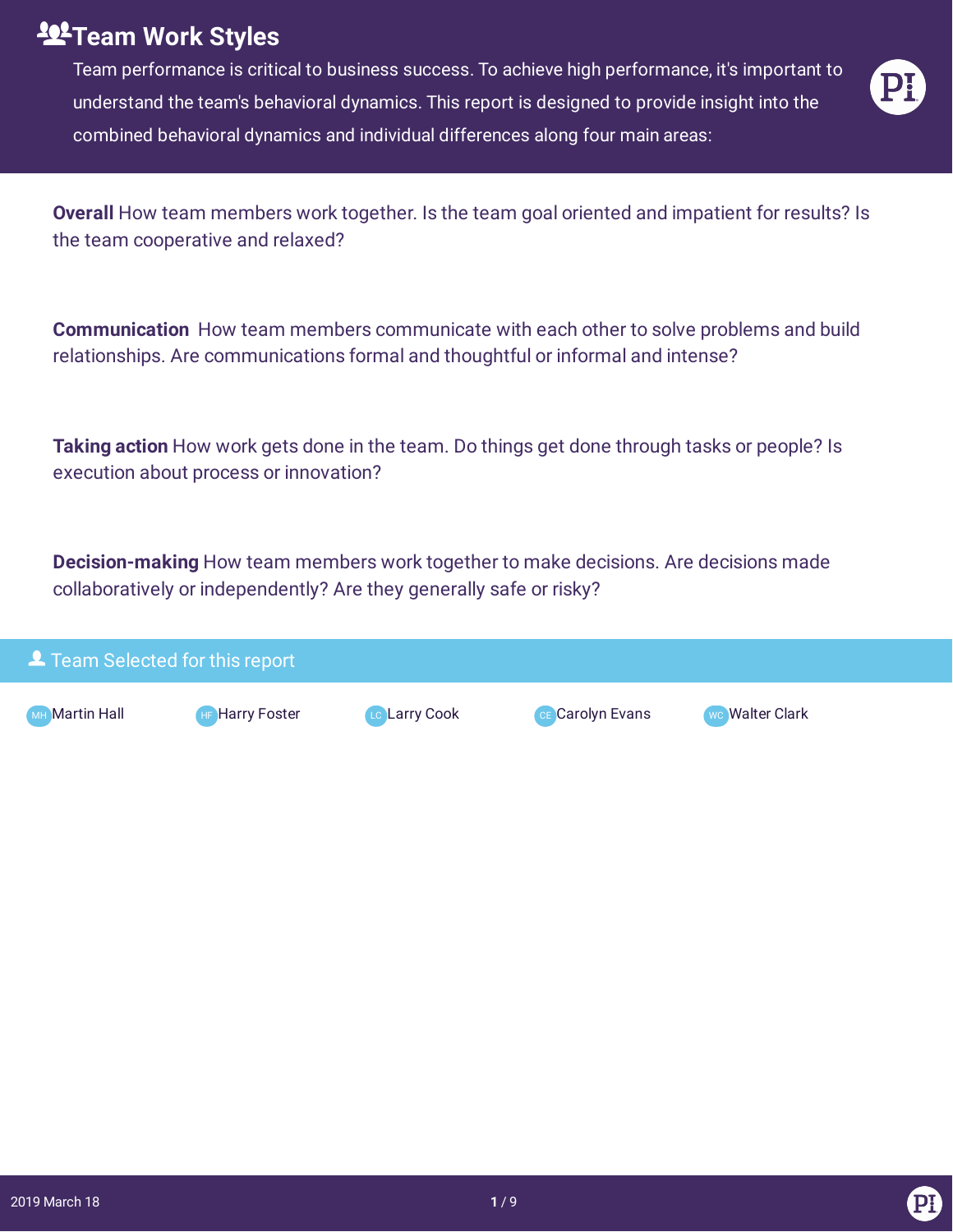## **Team Work Styles**

Team performance is critical to business success. To achieve high performance, it's important to understand the team's behavioral dynamics. This report is designed to provide insight into the combined behavioral dynamics and individual differences along four main areas:



**Overall** How team members work together. Is the team goal oriented and impatient for results? Is the team cooperative and relaxed?

**Communication** How team members communicate with each other to solve problems and build relationships. Are communications formal and thoughtful or informal and intense?

**Taking action** How work gets done in the team. Do things get done through tasks or people? Is execution about process or innovation?

**Decision-making** How team members work together to make decisions. Are decisions made collaboratively or independently? Are they generally safe or risky?

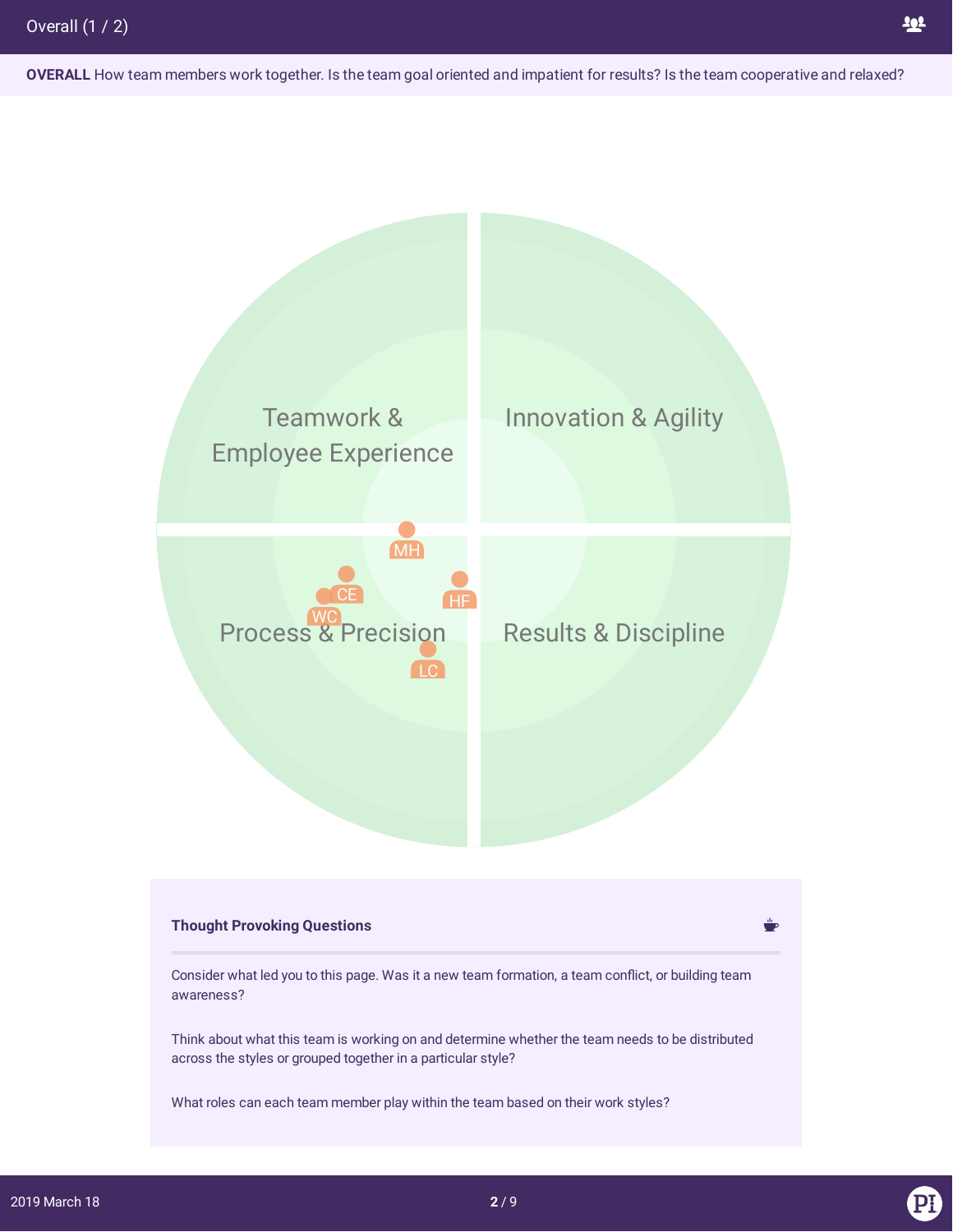**OVERALL** How team members work together. Is the team goal oriented and impatient for results? Is the team cooperative and relaxed?

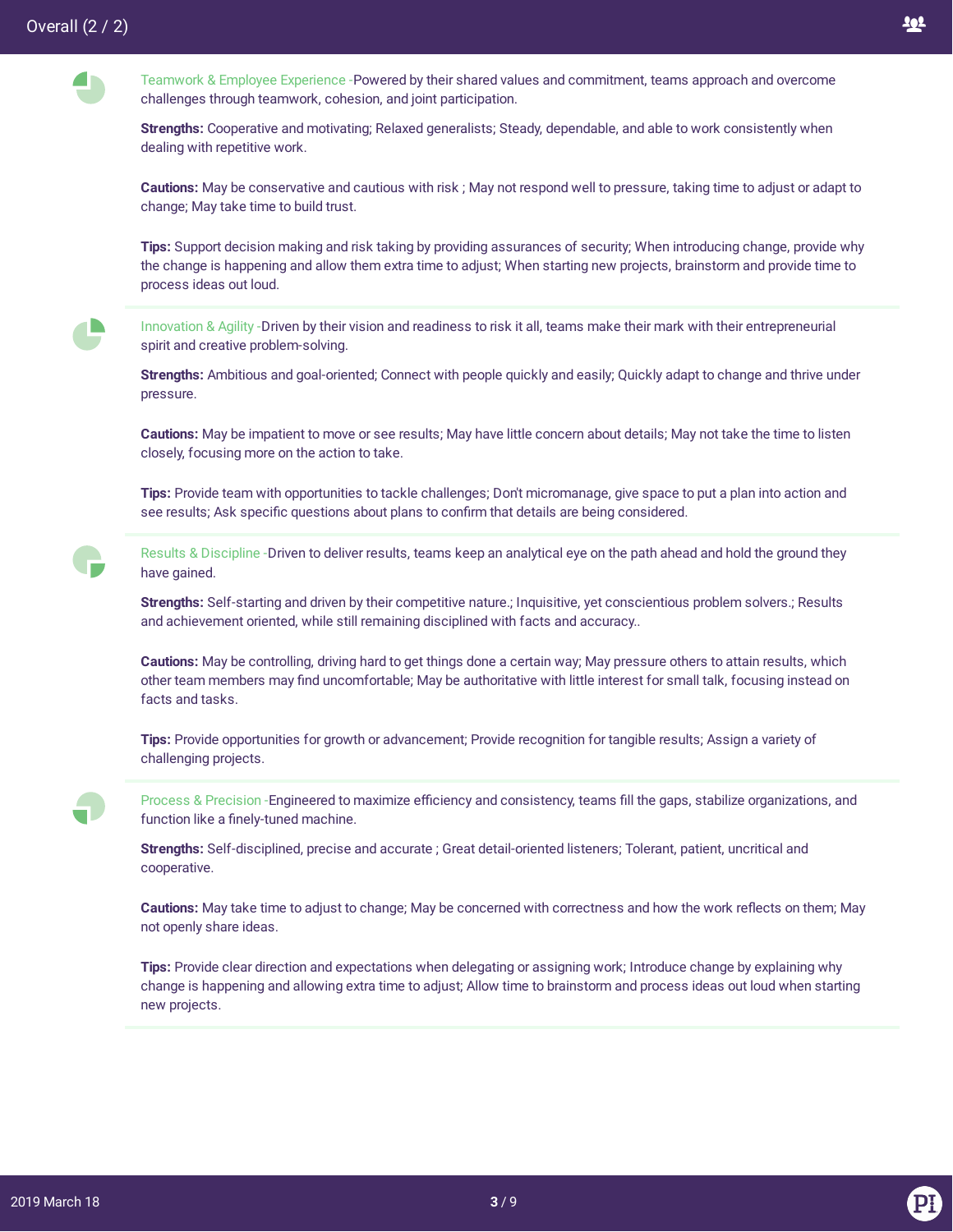



**Strengths:** Cooperative and motivating; Relaxed generalists; Steady, dependable, and able to work consistently when dealing with repetitive work.

**Cautions:** May be conservative and cautious with risk ; May not respond well to pressure, taking time to adjust or adapt to change; May take time to build trust.

**Tips:** Support decision making and risk taking by providing assurances of security; When introducing change, provide why the change is happening and allow them extra time to adjust; When starting new projects, brainstorm and provide time to process ideas out loud.

 $\blacksquare$ 

Innovation & Agility -Driven by their vision and readiness to risk it all, teams make their mark with their entrepreneurial spirit and creative problem-solving.

**Strengths:** Ambitious and goal-oriented; Connect with people quickly and easily; Quickly adapt to change and thrive under pressure.

**Cautions:** May be impatient to move or see results; May have little concern about details; May not take the time to listen closely, focusing more on the action to take.

**Tips:** Provide team with opportunities to tackle challenges; Don't micromanage, give space to put a plan into action and see results; Ask specific questions about plans to confirm that details are being considered.

Results & Discipline -Driven to deliver results, teams keep an analytical eye on the path ahead and hold the ground they have gained.

**Strengths:** Self-starting and driven by their competitive nature.; Inquisitive, yet conscientious problem solvers.; Results and achievement oriented, while still remaining disciplined with facts and accuracy..

**Cautions:** May be controlling, driving hard to get things done a certain way; May pressure others to attain results, which other team members may find uncomfortable; May be authoritative with little interest for small talk, focusing instead on facts and tasks.

**Tips:** Provide opportunities for growth or advancement; Provide recognition for tangible results; Assign a variety of challenging projects.

Process & Precision -Engineered to maximize efficiency and consistency, teams fill the gaps, stabilize organizations, and function like a finely-tuned machine.

**Strengths:** Self-disciplined, precise and accurate ; Great detail-oriented listeners; Tolerant, patient, uncritical and cooperative.

Cautions: May take time to adjust to change; May be concerned with correctness and how the work reflects on them; May not openly share ideas.

**Tips:** Provide clear direction and expectations when delegating or assigning work; Introduce change by explaining why change is happening and allowing extra time to adjust; Allow time to brainstorm and process ideas out loud when starting new projects.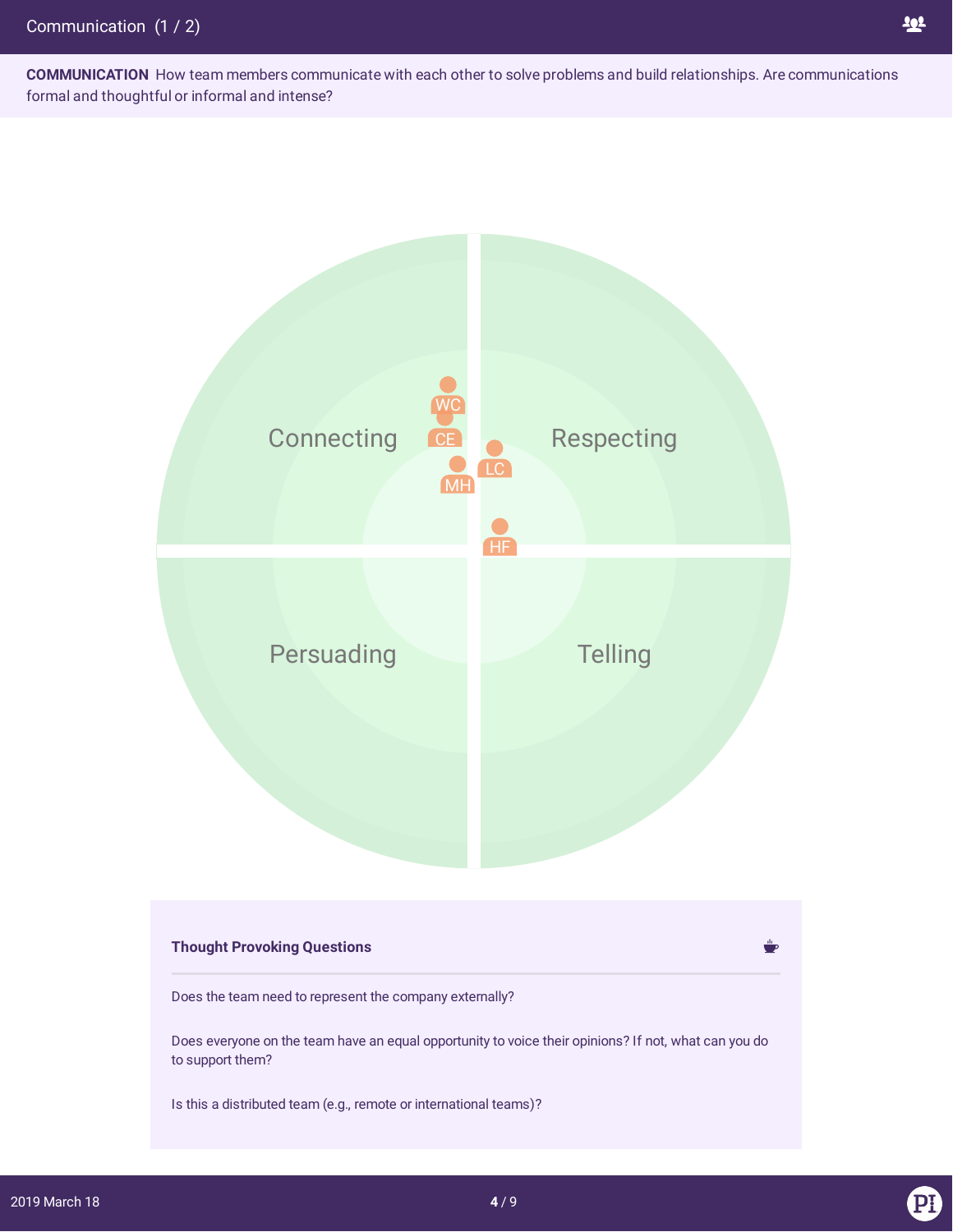**COMMUNICATION** How team members communicate with each other to solve problems and build relationships. Are communications formal and thoughtful or informal and intense?



## **Thought Provoking Questions** Does the team need to represent the company externally? Does everyone on the team have an equal opportunity to voice their opinions? If not, what can you do to support them? Is this a distributed team (e.g., remote or international teams)?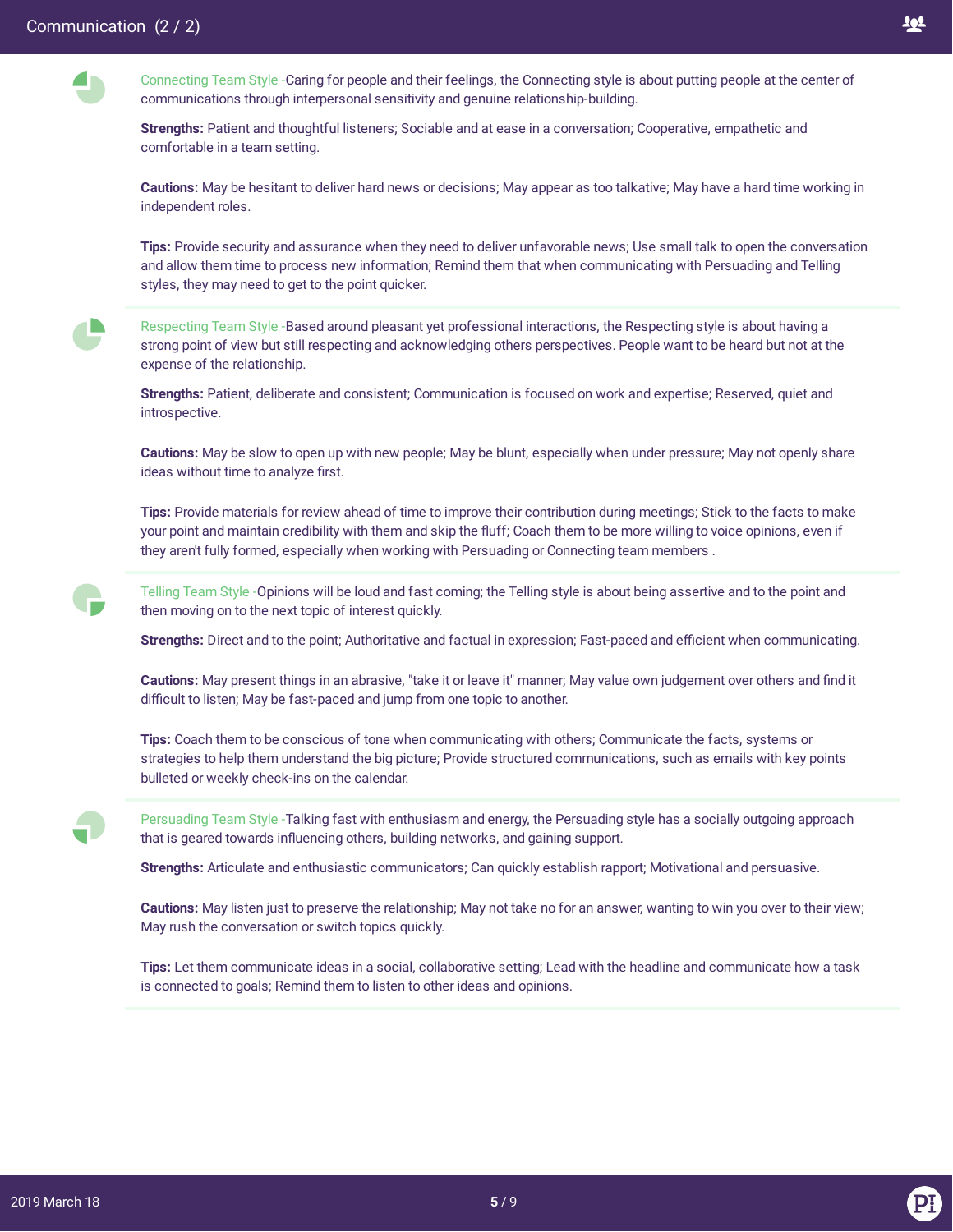**A** 

 $\blacksquare$ 



Connecting Team Style -Caring for people and their feelings, the Connecting style is about putting people at the center of communications through interpersonal sensitivity and genuine relationship-building.

**Strengths:** Patient and thoughtful listeners; Sociable and at ease in a conversation; Cooperative, empathetic and comfortable in a team setting.

**Cautions:** May be hesitant to deliver hard news or decisions; May appear as too talkative; May have a hard time working in independent roles.

**Tips:** Provide security and assurance when they need to deliver unfavorable news; Use small talk to open the conversation and allow them time to process new information; Remind them that when communicating with Persuading and Telling styles, they may need to get to the point quicker.

Respecting Team Style -Based around pleasant yet professional interactions, the Respecting style is about having a strong point of view but still respecting and acknowledging others perspectives. People want to be heard but not at the expense of the relationship.

**Strengths:** Patient, deliberate and consistent; Communication is focused on work and expertise; Reserved, quiet and introspective.

**Cautions:** May be slow to open up with new people; May be blunt, especially when under pressure; May not openly share ideas without time to analyze first.

**Tips:** Provide materials for review ahead of time to improve their contribution during meetings; Stick to the facts to make your point and maintain credibility with them and skip the fluff; Coach them to be more willing to voice opinions, even if they aren't fully formed, especially when working with Persuading or Connecting team members .

Telling Team Style -Opinions will be loud and fast coming; the Telling style is about being assertive and to the point and then moving on to the next topic of interest quickly.

**Strengths:** Direct and to the point; Authoritative and factual in expression; Fast-paced and efficient when communicating.

**Cautions:** May present things in an abrasive, "take it or leave it" manner; May value own judgement over others and find it difficult to listen; May be fast-paced and jump from one topic to another.

**Tips:** Coach them to be conscious of tone when communicating with others; Communicate the facts, systems or strategies to help them understand the big picture; Provide structured communications, such as emails with key points bulleted or weekly check-ins on the calendar.

Persuading Team Style -Talking fast with enthusiasm and energy, the Persuading style has a socially outgoing approach that is geared towards influencing others, building networks, and gaining support.

**Strengths:** Articulate and enthusiastic communicators; Can quickly establish rapport; Motivational and persuasive.

**Cautions:** May listen just to preserve the relationship; May not take no for an answer, wanting to win you over to their view; May rush the conversation or switch topics quickly.

**Tips:** Let them communicate ideas in a social, collaborative setting; Lead with the headline and communicate how a task is connected to goals; Remind them to listen to other ideas and opinions.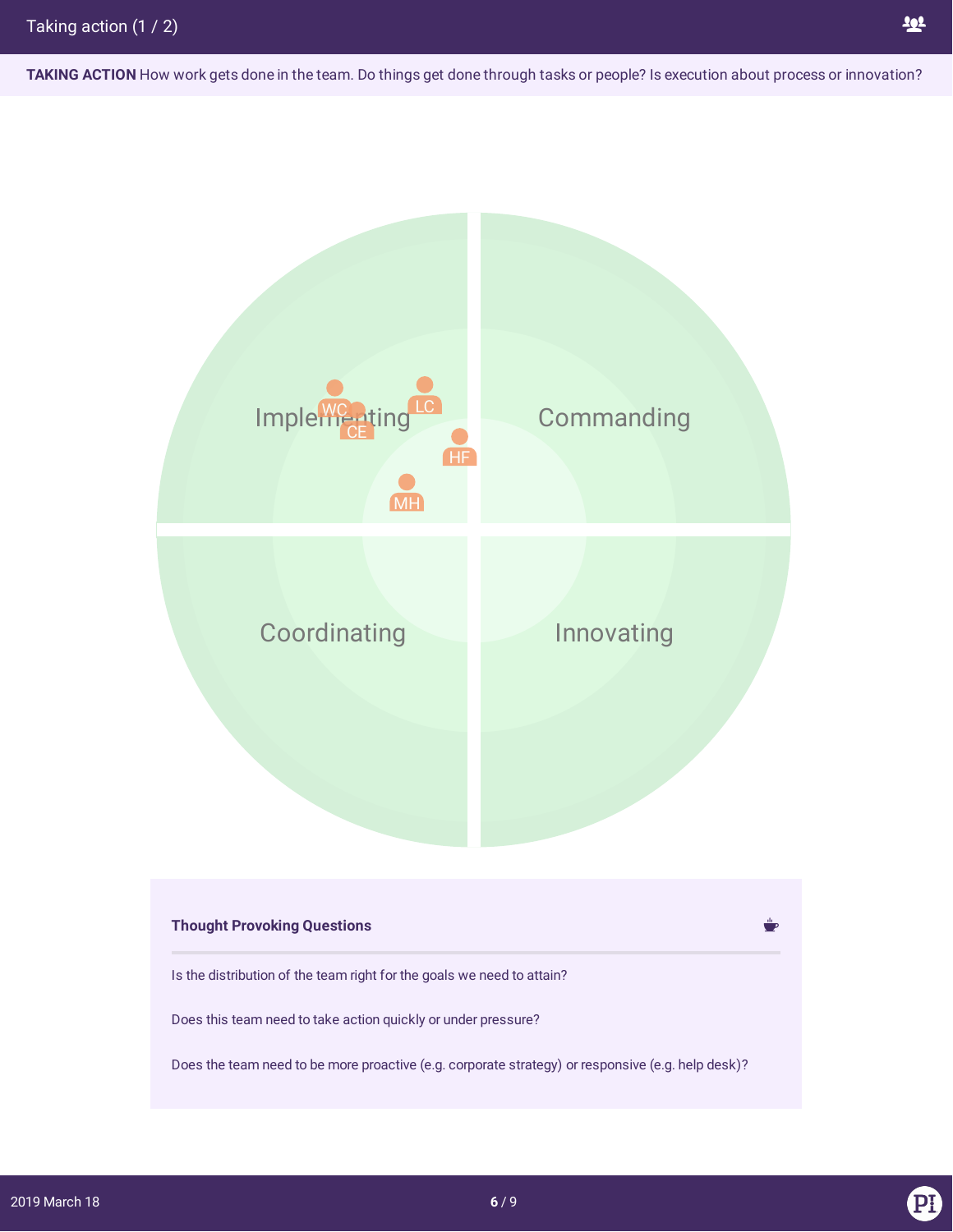**TAKING ACTION** How work gets done in the team. Do things get done through tasks or people? Is execution about process or innovation?

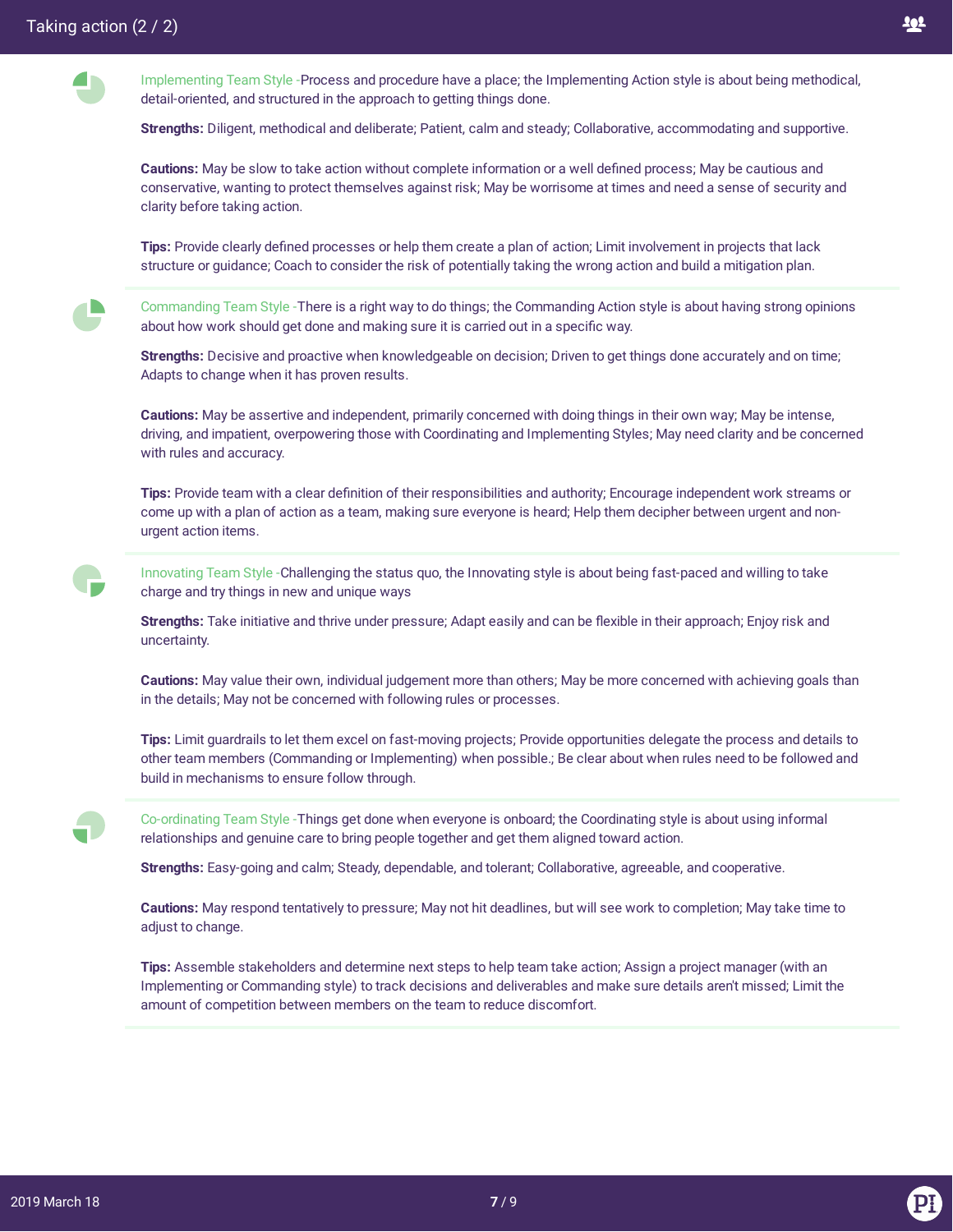Implementing Team Style -Process and procedure have a place; the Implementing Action style is about being methodical, detail-oriented, and structured in the approach to getting things done.

**Strengths:** Diligent, methodical and deliberate; Patient, calm and steady; Collaborative, accommodating and supportive.

**Cautions:** May be slow to take action without complete information or a well defined process; May be cautious and conservative, wanting to protect themselves against risk; May be worrisome at times and need a sense of security and clarity before taking action.

Tips: Provide clearly defined processes or help them create a plan of action; Limit involvement in projects that lack structure or guidance; Coach to consider the risk of potentially taking the wrong action and build a mitigation plan.

Commanding Team Style -There is a right way to do things; the Commanding Action style is about having strong opinions about how work should get done and making sure it is carried out in a specific way.

**Strengths:** Decisive and proactive when knowledgeable on decision; Driven to get things done accurately and on time; Adapts to change when it has proven results.

**Cautions:** May be assertive and independent, primarily concerned with doing things in their own way; May be intense, driving, and impatient, overpowering those with Coordinating and Implementing Styles; May need clarity and be concerned with rules and accuracy.

**Tips:** Provide team with a clear definition of their responsibilities and authority; Encourage independent work streams or come up with a plan of action as a team, making sure everyone is heard; Help them decipher between urgent and nonurgent action items.

Innovating Team Style -Challenging the status quo, the Innovating style is about being fast-paced and willing to take charge and try things in new and unique ways

Strengths: Take initiative and thrive under pressure; Adapt easily and can be flexible in their approach; Enjoy risk and uncertainty.

**Cautions:** May value their own, individual judgement more than others; May be more concerned with achieving goals than in the details; May not be concerned with following rules or processes.

**Tips:** Limit guardrails to let them excel on fast-moving projects; Provide opportunities delegate the process and details to other team members (Commanding or Implementing) when possible.; Be clear about when rules need to be followed and build in mechanisms to ensure follow through.



Co-ordinating Team Style -Things get done when everyone is onboard; the Coordinating style is about using informal relationships and genuine care to bring people together and get them aligned toward action.

**Strengths:** Easy-going and calm; Steady, dependable, and tolerant; Collaborative, agreeable, and cooperative.

**Cautions:** May respond tentatively to pressure; May not hit deadlines, but will see work to completion; May take time to adjust to change.

**Tips:** Assemble stakeholders and determine next steps to help team take action; Assign a project manager (with an Implementing or Commanding style) to track decisions and deliverables and make sure details aren't missed; Limit the amount of competition between members on the team to reduce discomfort.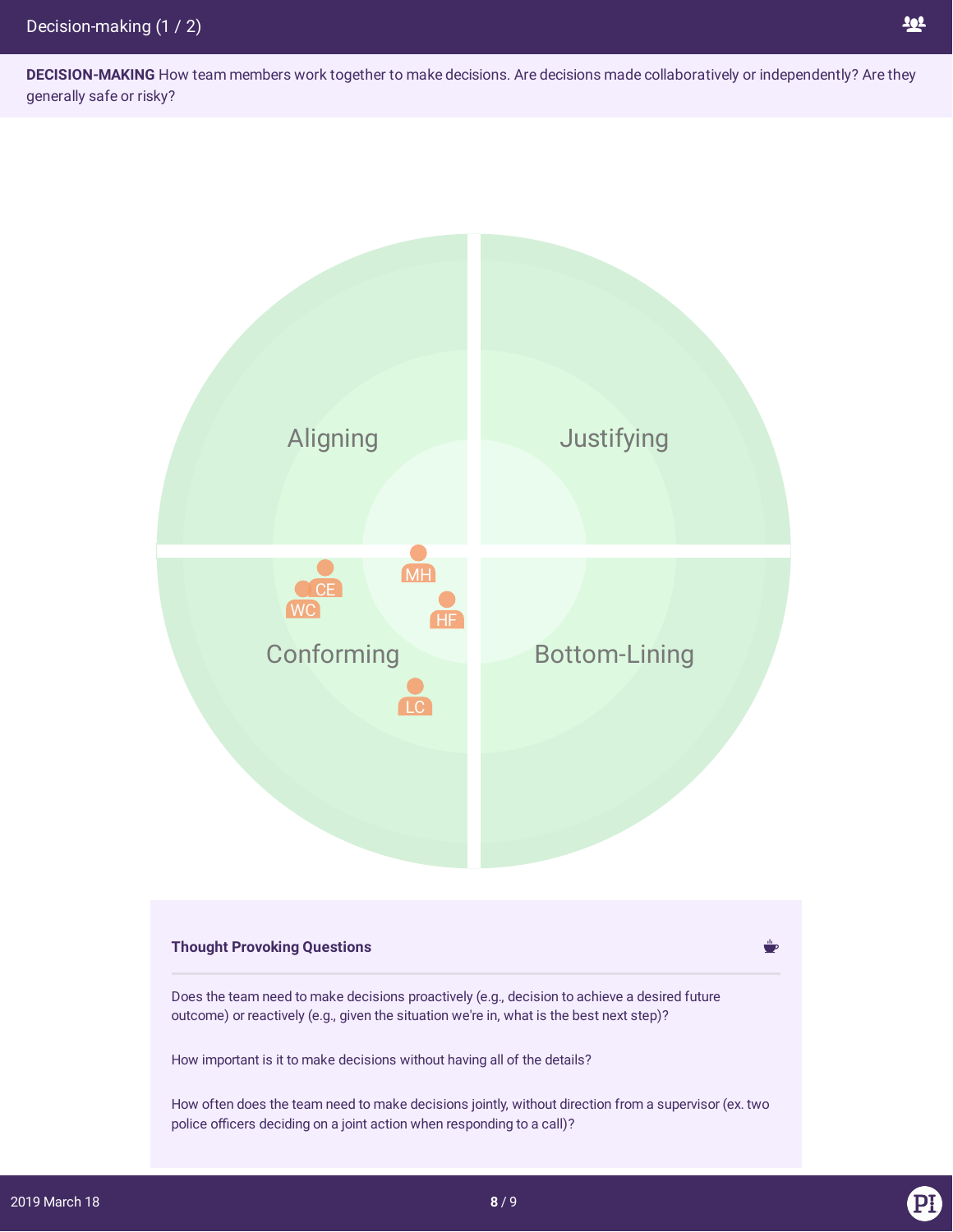**DECISION-MAKING** How team members work together to make decisions. Are decisions made collaboratively or independently? Are they generally safe or risky?



## **Thought Provoking Questions**

Does the team need to make decisions proactively (e.g., decision to achieve a desired future outcome) or reactively (e.g., given the situation we're in, what is the best next step)?

How important is it to make decisions without having all of the details?

How often does the team need to make decisions jointly, without direction from a supervisor (ex. two police officers deciding on a joint action when responding to a call)?